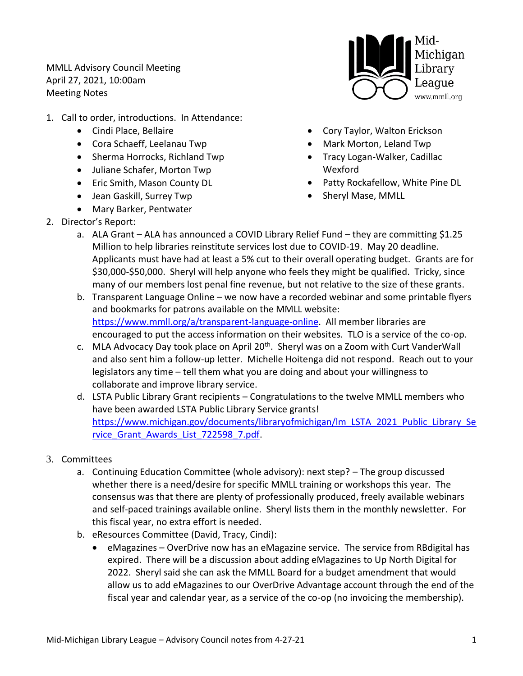MMLL Advisory Council Meeting April 27, 2021, 10:00am Meeting Notes

- 1. Call to order, introductions. In Attendance:
	- Cindi Place, Bellaire
	- Cora Schaeff, Leelanau Twp
	- Sherma Horrocks, Richland Twp
	- Juliane Schafer, Morton Twp
	- Eric Smith, Mason County DL
	- Jean Gaskill, Surrey Twp

2. Director's Report:

• Mary Barker, Pentwater



- Cory Taylor, Walton Erickson
- Mark Morton, Leland Twp
- Tracy Logan-Walker, Cadillac Wexford
- Patty Rockafellow, White Pine DL
- Sheryl Mase, MMLL
- a. ALA Grant ALA has announced a COVID Library Relief Fund they are committing \$1.25 Million to help libraries reinstitute services lost due to COVID-19. May 20 deadline. Applicants must have had at least a 5% cut to their overall operating budget. Grants are for \$30,000-\$50,000. Sheryl will help anyone who feels they might be qualified. Tricky, since many of our members lost penal fine revenue, but not relative to the size of these grants.
- b. Transparent Language Online we now have a recorded webinar and some printable flyers and bookmarks for patrons available on the MMLL website: [https://www.mmll.org/a/transparent-language-online.](https://www.mmll.org/a/transparent-language-online) All member libraries are encouraged to put the access information on their websites. TLO is a service of the co-op.
- c. MLA Advocacy Day took place on April 20<sup>th</sup>. Sheryl was on a Zoom with Curt VanderWall and also sent him a follow-up letter. Michelle Hoitenga did not respond. Reach out to your legislators any time – tell them what you are doing and about your willingness to collaborate and improve library service.
- d. LSTA Public Library Grant recipients Congratulations to the twelve MMLL members who have been awarded LSTA Public Library Service grants! [https://www.michigan.gov/documents/libraryofmichigan/lm\\_LSTA\\_2021\\_Public\\_Library\\_Se](https://www.michigan.gov/documents/libraryofmichigan/lm_LSTA_2021_Public_Library_Service_Grant_Awards_List_722598_7.pdf) rvice Grant Awards List 722598 7.pdf.
- 3. Committees
	- a. Continuing Education Committee (whole advisory): next step? The group discussed whether there is a need/desire for specific MMLL training or workshops this year. The consensus was that there are plenty of professionally produced, freely available webinars and self-paced trainings available online. Sheryl lists them in the monthly newsletter. For this fiscal year, no extra effort is needed.
	- b. eResources Committee (David, Tracy, Cindi):
		- eMagazines OverDrive now has an eMagazine service. The service from RBdigital has expired. There will be a discussion about adding eMagazines to Up North Digital for 2022. Sheryl said she can ask the MMLL Board for a budget amendment that would allow us to add eMagazines to our OverDrive Advantage account through the end of the fiscal year and calendar year, as a service of the co-op (no invoicing the membership).